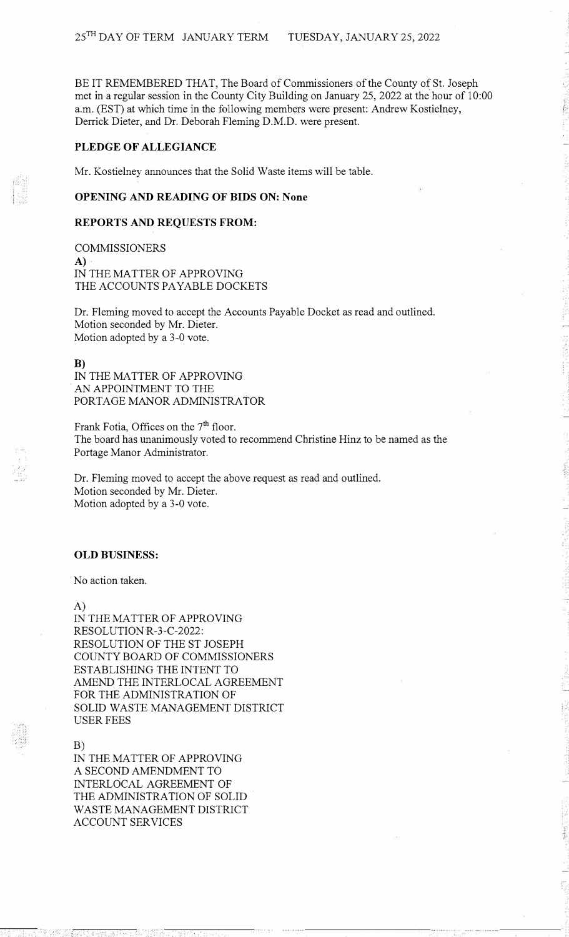BE IT REMEMBERED THAT, The Board of Commissioners of the County of St. Joseph met in a regular session in the County City Building on January 25, 2022 at the hour of 10:00 a.m. (EST) at which time in the following members were present: Andrew Kostielney, Derrick Dieter, and Dr. Deborah Fleming D.M.D. were present.

## **PLEDGE OF ALLEGIANCE**

Mr. Kostielney announces that the Solid Waste items will be table.

## **OPENING AND READING OF BIDS ON: None**

#### **REPORTS AND REQUESTS FROM:**

COMMISSIONERS **A)**  IN THE MATTER OF APPROVING THE ACCOUNTS PAYABLE DOCKETS

Dr. Fleming moved to accept the Accounts Payable Docket as read and outlined. Motion seconded by Mr. Dieter. Motion adopted by a 3-0 vote.

**B)** 

IN THE MATTER OF APPROVING AN APPOINTMENT TO THE PORTAGE MANOR ADMINISTRATOR

Frank Fotia, Offices on the 7<sup>th</sup> floor. The board has unanimously voted to recommend Christine Hinz to be named as the Portage Manor Administrator.

Dr. Fleming moved to accept the above request as read and outlined. Motion seconded by Mr. Dieter. Motion adopted by a 3-0 vote.

## **OLD BUSINESS:**

No action taken.

A)

IN THE MATTER OF APPROVING RESOLUTION R-3-C-2022: RESOLUTION OF THE ST JOSEPH COUNTY BOARD OF COMMISSIONERS ESTABLISHING THE INTENT TO AMEND THE INTERLOCAL AGREEMENT FOR THE ADMINISTRATION OF SOLID WASTE MANAGEMENT DISTRICT USER FEES

B)

IN THE MATTER OF APPROVING A SECOND AMENDMENT TO INTERLOCAL AGREEMENT OF THE ADMINISTRATION OF SOLID WASTE MANAGEMENT DISTRICT ACCOUNT SERVICES